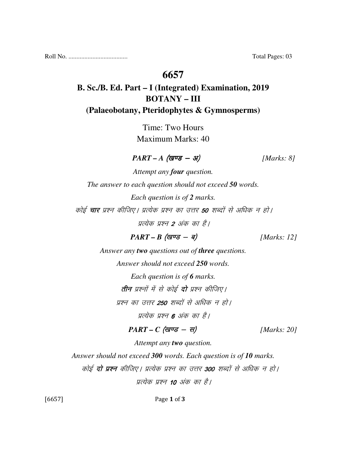Roll No. ..................................... Total Pages: 03

### **6657**

## **B. Sc./B. Ed. Part – I (Integrated) Examination, 2019 BOTANY – III (Palaeobotany, Pteridophytes & Gymnosperms)**

Time: Two Hours Maximum Marks: 40

 $\textit{PART - A} \text{ (gug - 3)}$  [Marks: 8]

*Attempt any four question. The answer to each question should not exceed 50 words. Each question is of 2 marks.*  कोई **चार** प्रश्न कीजिए। प्रत्येक प्रश्न का उत्तर **50** शब्दों से अधिक न हो। प्रत्येक प्रश्न 2 अंक का है।

 $PART - B$  (*खण्ड* - *ब*) [*Marks: 12*]

*Answer any two questions out of three questions.* 

*Answer should not exceed 250 words.* 

*Each question is of 6 marks.* 

तीन प्रश्नों में से कोई दो प्रश्न कीजिए।

प्रश्न का उत्तर **250** शब्दों से अधिक न हो।

प्रत्येक प्रश्न 6 अंक का है।

 $PART - C$  (खण्ड - स) [Marks: 20]

*Attempt any two question.* 

*Answer should not exceed 300 words. Each question is of 10 marks.* 

कोई **दो प्रश्न** कीजिए। प्रत्येक प्रश्न का उत्तर **300** शब्दों से अधिक न हो।

पत्येक पश्न 10 अंक का है।

[6657] Page 1 of 3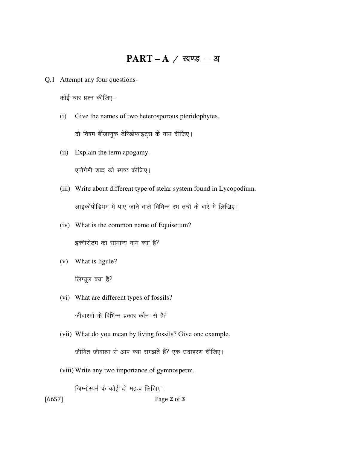#### **PART – A**  $\neq$  खण्ड – अ

Q.1 Attempt any four questions-

कोई चार प्रश्न कीजिए–

(i) Give the names of two heterosporous pteridophytes.

दो विषम बीजाणुक टेरिडोफाइट्स के नाम दीजिए।

(ii) Explain the term apogamy.

एपोगेमी शब्द को स्पष्ट कीजिए।

(iii) Write about different type of stelar system found in Lycopodium.

लाइकोपोडियम में पाए जाने वाले विभिन्न रंभ तंत्रों के बारे में लिखिए।

(iv) What is the common name of Equisetum?

इक्वीसेटम का सामान्य नाम क्या है?

(v) What is ligule?

लिग्यूल क्या है?

(vi) What are different types of fossils?

जीवाश्मों के विभिन्न प्रकार कौन–से हैं?

- (vii) What do you mean by living fossils? Give one example. जीवित जीवाश्म से आप क्या समझते हैं? एक उदाहरण दीजिए।
- (viii) Write any two importance of gymnosperm.

जिम्नोस्पर्म के कोई दो महत्व लिखिए।

[6657] Page 2 of 3